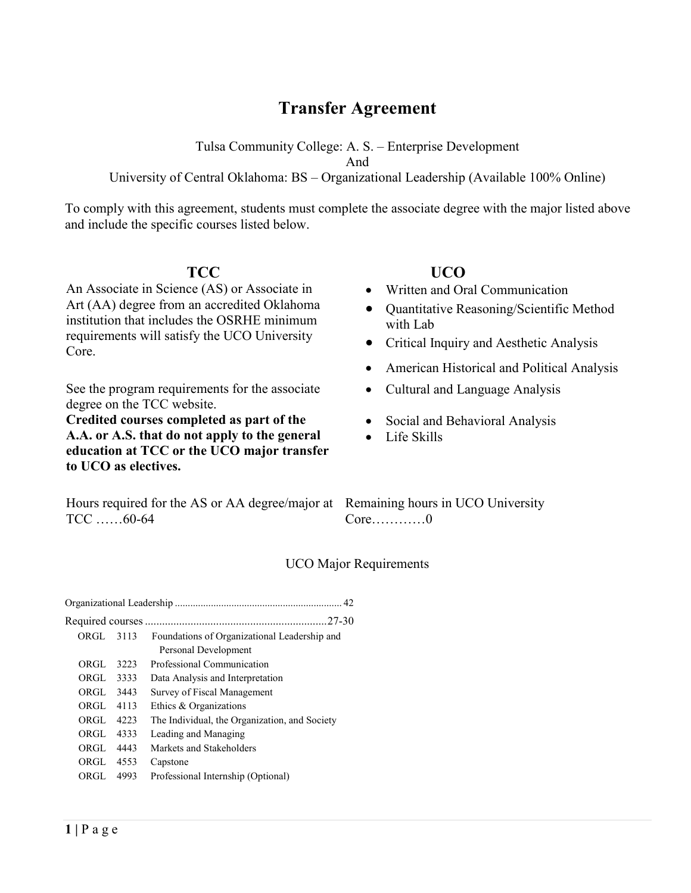# **Transfer Agreement**

Tulsa Community College: A. S. – Enterprise Development

And

# University of Central Oklahoma: BS – Organizational Leadership (Available 100% Online)

To comply with this agreement, students must complete the associate degree with the major listed above and include the specific courses listed below.

An Associate in Science (AS) or Associate in Art (AA) degree from an accredited Oklahoma institution that includes the OSRHE minimum requirements will satisfy the UCO University Core.

See the program requirements for the associate degree on the TCC website.

**Credited courses completed as part of the A.A. or A.S. that do not apply to the general education at TCC or the UCO major transfer to UCO as electives.** 

# **TCC UCO**

- Written and Oral Communication
- Quantitative Reasoning/Scientific Method with Lab
- Critical Inquiry and Aesthetic Analysis
- American Historical and Political Analysis
- Cultural and Language Analysis
- Social and Behavioral Analysis
- Life Skills

Hours required for the AS or AA degree/major at Remaining hours in UCO University TCC ……60-64

Core…………0

# UCO Major Requirements

|            |      | .27-30                                        |
|------------|------|-----------------------------------------------|
| ORGL 3113  |      | Foundations of Organizational Leadership and  |
|            |      | Personal Development                          |
| ORGL       | 3223 | Professional Communication                    |
| ORGL       | 3333 | Data Analysis and Interpretation              |
| ORGL       | 3443 | Survey of Fiscal Management                   |
| ORGI. 4113 |      | Ethics & Organizations                        |
| ORGL       | 4223 | The Individual, the Organization, and Society |
| ORGL       | 4333 | Leading and Managing                          |
| ORGL       | 4443 | Markets and Stakeholders                      |
| ORGL       | 4553 | Capstone                                      |
| ORGL       | 4993 | Professional Internship (Optional)            |
|            |      |                                               |